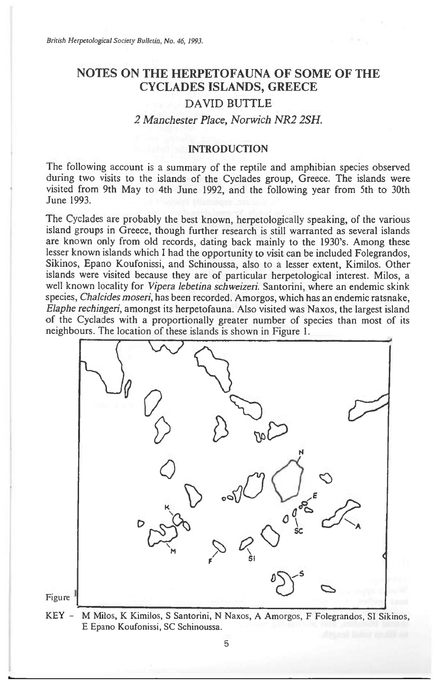# **NOTES ON THE HERPETOFAUNA OF SOME OF THE CYCLADES ISLANDS, GREECE**

# DAVID BUTTLE

## *2 Manchester Place, Norwich NR2 2SH.*

#### INTRODUCTION

The following account is a summary of the reptile and amphibian species observed during two visits to the islands of the Cyclades group, Greece. The islands were visited from 9th May to 4th June 1992, and the following year from 5th to 30th June 1993.

The Cyclades are probably the best known, herpetologically speaking, of the various island groups in Greece, though further research is still warranted as several islands are known only from old records, dating back mainly to the 1930's. Among these lesser known islands which I had the opportunity to visit can be included Folegrandos, Sikinos, Epano Koufonissi, and Schinoussa, also to a lesser extent, Kimilos. Other islands were visited because they are of particular herpetological interest. Milos, a well known locality for *Vipera lebetina schweizeri.* Santorini, where an endemic skink species, *Chalcides moseri,* has been recorded. Amorgos, which has an endemic ratsnake, *Elaphe rechingeri,* amongst its herpetofauna. Also visited was Naxos, the largest island of the Cyclades with a proportionally greater number of species than most of its neighbours. The location of these islands is shown in Figure 1.



KEY - M Milos, K Kimilos, S Santorini, N Naxos, A Amorgos, F Folegrandos, SI Sikinos, E Epano Koufonissi, SC Schinoussa.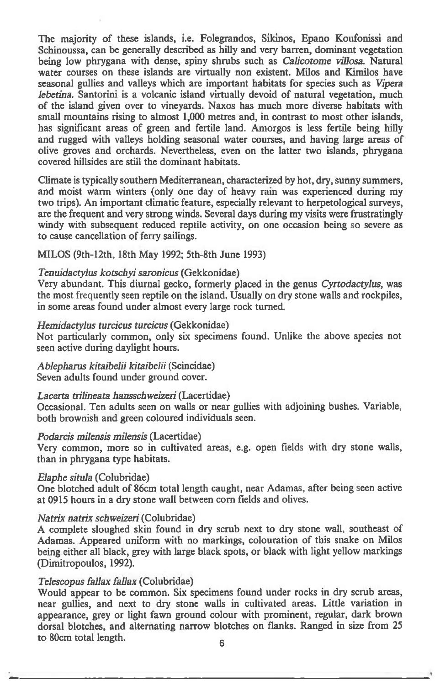**The majority of these islands, i.e. Folegrandos, Sikinos, Epano Koufonissi and Schinoussa, can be generally described as hilly and very barren, dominant vegetation being low phrygana with dense, spiny shrubs such** *as Calicotome villosa.* **Natural**  water courses on these islands are virtually non existent. Milos and Kimilos have **seasonal gullies and valleys which are important habitats for species such** *as Vipera lebetina.* **Santorini is a volcanic island virtually devoid of natural vegetation, much of the island given over to vineyards. Naxos has much more diverse habitats with small mountains rising to almost 1,000 metres and, in contrast to most other islands, has significant areas of green and fertile land. Amorgos is less fertile being hilly and rugged with valleys holding seasonal water courses, and having large areas of olive groves and orchards. Nevertheless, even on the latter two islands, phrygana covered hillsides are still the dominant habitats.** 

**Climate is typically southern Mediterranean, characterized by hot, dry, sunny summers, and moist warm winters (only one day of heavy rain was experienced during my two trips). An important climatic feature, especially relevant to herpetological surveys, are the frequent and very strong winds. Several days during my visits were frustratingly windy with subsequent reduced reptile activity, on one occasion being so severe as to cause cancellation of ferry sailings.** 

**MILOS (9th-12th, 18th May 1992; 5th-8th June 1993)** 

## *Tenuidactylus kotschyi saronicus* **(Gekkonidae)**

**Very abundant. This diurnal gecko, formerly placed in the genus** *Cyrtodactylus,* **was the most frequently seen reptile on the island. Usually on dry stone walls and rockpiles, in some areas found under almost every large rock turned.** 

# *Hemidactylus turcicus turcicus* **(Gekkonidae)**

**Not particularly common, only six specimens found. Unlike the above species not seen active during daylight hours.** 

# *Ablepharus kitaibelii kitaibelii* **(Scincidae)**

**Seven adults found under ground cover.** 

# *Lacerta trilineata hansschweizeri* **(Lacertidae)**

**Occasional. Ten adults seen on walls or near gullies with adjoining bushes. Variable, both brownish and green coloured individuals seen.** 

#### *Podarcis milensis milensis* **(Lacertidae)**

**Very common, more so in cultivated areas, e.g. open fields with dry stone walls, than in phrygana type habitats.** 

#### *Elaphe situla* **(Colubridae)**

**One blotched adult of 86cm total length caught, near Adamas, after being seen active at 0915 hours in a dry stone wall between corn fields and olives.** 

# *Natrix natrix schweizeri* **(Colubridae)**

**A complete sloughed skin found in dry scrub next to dry stone wall, southeast of Adamas. Appeared uniform with no markings, colouration of this snake on Milos being either all black, grey with large black spots, or black with light yellow markings (Dimitropoulos, 1992).** 

# *Telescopus fallax fallax* **(Colubridae)**

**Would appear to be common. Six specimens found under rocks in dry scrub areas, near gullies, and next to dry stone walls in cultivated areas. Little variation in appearance, grey or light fawn ground colour with prominent, regular, dark brown dorsal blotches, and alternating narrow blotches on flanks. Ranged in size from 25 to 80cm total length. <sup>6</sup>**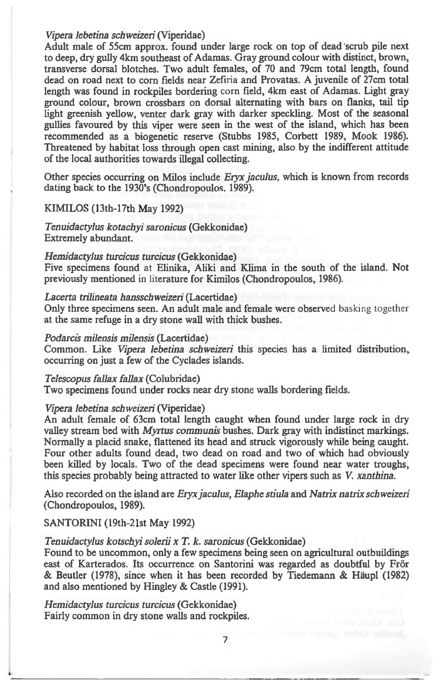#### *Vipera lebetina schweizeri* (Viperidae)

Adult male of 55cm approx. found under large rock on top of dead 'scrub pile next to deep, dry gully 4km southeast of Adamas. Gray ground colour with distinct, brown, transverse dorsal blotches. Two adult females, of 70 and 79cm total length, found dead on road next to corn fields near Zefiria and Provatas. A juvenile of 27cm total length was found in rockpiles bordering corn field, 4km east of Adamas. Light gray ground colour, brown crossbars on dorsal alternating with bars on flanks, tail tip light greenish yellow, venter dark gray with darker speckling. Most of the seasonal gullies favoured by this viper were seen in the west of the island, which has been recommended as a biogenetic reserve (Stubbs 1985, Corbett 1989, Mook 1986). Threatened by habitat loss through open cast mining, also by the indifferent attitude of the local authorities towards illegal collecting.

Other species occurring on Milos include *Eryx jaculus,* which is known from records dating back to the 1930's (Chondropoulos. 1989).

#### KIMILOS (13th-17th May 1992)

*Tenuidactylus kotachyi saronicus* (Gekkonidae) Extremely abundant.

#### *Hemidactylus turcicus turcicus* (Gekkonidae)

Five specimens found at Elinika, Aliki and Klima in the south of the island. Not previously mentioned in literature for Kimilos (Chondropoulos, 1986).

#### *Lacerta trilineata hansschweizeri* (Lacertidae)

Only three specimens seen. An adult male and female were observed basking together at the same refuge in a dry stone wall with thick bushes.

#### *Podarcis milensis milensis* (Lacertidae)

Common. Like *Vipera lebetina schweizeri* this species has a limited distribution, occurring on just a few of the Cyclades islands.

*Telescopus fallax fallax* (Colubridae) Two specimens found under rocks near dry stone walls bordering fields.

#### *Vipera lebetina schweizeri* (Viperidae)

An adult female of 63cm total length caught when found under large rock in dry valley stream bed with *Myrtus communis* bushes. Dark gray with indistinct markings. Normally a placid snake, flattened its head and struck vigorously while being caught. Four other adults found dead, two dead on road and two of which had obviously been killed by locals. Two of the dead specimens were found near water troughs, this species probably being attracted to water like other vipers such as V. *xanthina.* 

Also recorded on the island are *Eryx jaculus, Elaphe stiula* and *Natrix natrix schweizeri*  (Chondropoulos, 1989).

# SANTORINI (19th-21st May 1992)

# *Tenuidactylus kotschyi solerii x T. k. saronicus* (Gekkonidae)

Found to be uncommon, only a few specimens being seen on agricultural outbuildings east of Karterados. Its occurrence on Santorini was regarded as doubtful by Frör & Beutler (1978), since when it has been recorded by Tiedemann & Haupl (1982) and also mentioned by Hingley & Castle (1991).

*Hemidactylus turcicus turcicus* (Gekkonidae) Fairly common in dry stone walls and rockpiles.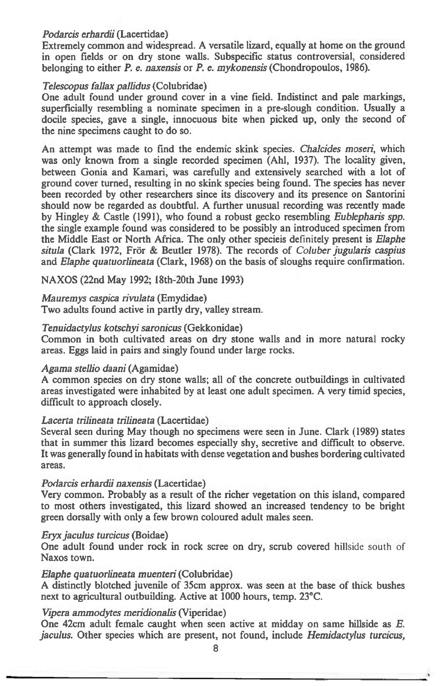# *Podarcis erhardii* (Lacertidae)

Extremely common and widespread. A versatile lizard, equally at home on the ground in open fields or on dry stone walls. Subspecific status controversial, considered belonging to either *P. e. naxensis* or *P. e. mykonensis* (Chondropoulos, 1986).

# *Telescopus fallax pallidus* (Colubridae)

One adult found under ground cover in a vine field. Indistinct and pale markings, superficially resembling a nominate specimen in a pre-slough condition. Usually a docile species, gave a single, innocuous bite when picked up, only the second of the nine specimens caught to do so.

An attempt was made to find the endemic skink species. *Chalcides mosezi,* which was only known from a single recorded specimen (Ahl, 1937). The locality given, between Gonia and Kamari, was carefully and extensively searched with a lot of ground cover turned, resulting in no skink species being found. The species has never been recorded by other researchers since its discovery and its presence on Santorini should now be regarded as doubtful. A further unusual recording was recently made by Hingley & Castle (1991), who found a robust gecko resembling *Eublepharis spp.*  the single example found was considered to be possibly an introduced specimen from the Middle East or North Africa. The only other specieis definitely present is *Elaphe situla* (Clark 1972, Fror & Beutler 1978). The records of *Coluber jugularis caspius*  and *Elaphe quatuorlineata* (Clark, 1968) on the basis of sloughs require confirmation.

NAXOS (22nd May 1992; 18th-20th June 1993)

# *Mauremys caspica rivulata* (Emydidae)

Two adults found active in partly dry, valley stream.

## *Tenuidactylus kotschyi saronicus* (Gekkonidae)

Common in both cultivated areas on dry stone walls and in more natural rocky areas. Eggs laid in pairs and singly found under large rocks.

#### *Agama stellio daani* (Agamidae)

A common species on dry stone walls; all of the concrete outbuildings in cultivated areas investigated were inhabited by at least one adult specimen. A very timid species, difficult to approach closely.

#### *Lacerta trilineata trilineata* (Lacertidae)

Several seen during May though no specimens were seen in June. Clark (1989) states that in summer this lizard becomes especially shy, secretive and difficult to observe. It was generally found in habitats with dense vegetation and bushes bordering cultivated areas.

#### *Podarcis erhardii naxensis* (Lacertidae)

Very common. Probably as a result of the richer vegetation on this island, compared to most others investigated, this lizard showed an increased tendency to be bright green dorsally with only a few brown coloured adult males seen.

#### *Eryx jaculus turcicus* (Boidae)

One adult found under rock in rock scree on dry, scrub covered hillside south of Naxos town.

#### *Elaphe quatuorlineata muenteri* (Colubridae)

A distinctly blotched juvenile of 35cm approx. was seen at the base of thick bushes next to agricultural outbuilding. Active at 1000 hours, temp. 23°C.

## *Vipera ammodytes meridionalis* (Viperidae)

One 42cm adult female caught when seen active at midday on same hillside *as E. jaculus.* Other species which are present, not found, include *Hemidactylus turcicus,*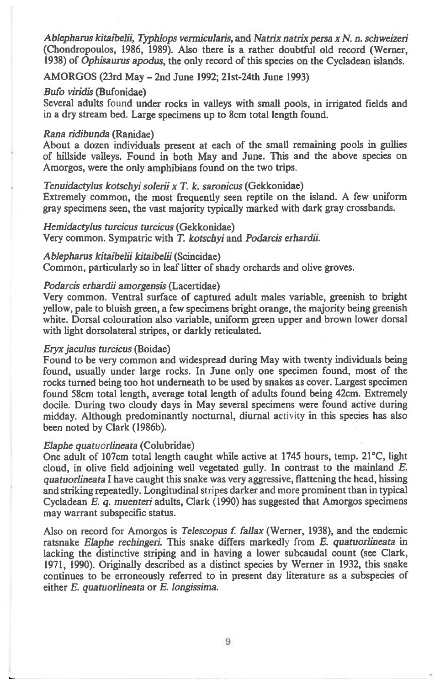*Ablepharus kitaibelii, Typhlops vermicularis,* **and** *Natrix natrix persa x N. n. schweizeri*  **(Chondropoulos, 1986, 1989). Also there is a rather doubtful old record (Werner, 1938) of** *Ophisaurus apodus,* **the only record of this species on the Cycladean islands.** 

**AMORGOS (23rd May — 2nd June 1992; 21st-24th June 1993)** 

#### *Bufo viridis* **(Bufonidae)**

**Several adults found under rocks in valleys with small pools, in irrigated fields and in a dry stream bed. Large specimens up to 8cm total length found.** 

#### *Rana ridibunda* **(Ranidae)**

**About a dozen individuals present at each of the small remaining pools in gullies of hillside valleys. Found in both May and June. This and the above species on Amorgos, were the only amphibians found on the two trips.** 

#### *Tenuidactylus kotschyi solerii x T. k. saronicus* **(Gekkonidae)**

**Extremely common, the most frequently seen reptile on the island. A few uniform gray specimens seen, the vast majority typically marked with dark gray crossbands.** 

*Hemidactylus turcicus turcicus* **(Gekkonidae) Very common. Sympatric with** *T. kotschyi* **and** *Podarcis erhardii.* 

#### *Ablepharus kitaibelii kitaibelii* **(Scincidae)**

**Common, particularly so in leaf litter of shady orchards and olive groves.** 

#### *Podarcis erhardii amorgensis* **(Lacertidae)**

**Very common. Ventral surface of captured adult males variable, greenish to bright yellow, pale to bluish green, a few specimens bright orange, the majority being greenish white. Dorsal colouration also variable, uniform green upper and brown lower dorsal with light dorsolateral stripes, or darkly reticulated.** 

#### *Eryx jaculus turcicus* **(Boidae)**

**Found to be very common and widespread during May with twenty individuals being found, usually under large rocks. In June only one specimen found, most of the rocks turned being too hot underneath to be used by snakes as cover. Largest specimen found 58cm total length, average total length of adults found being 42cm. Extremely docile. During two cloudy days in May several specimens were found active during midday. Although predominantly nocturnal, diurnal** activity **in this species has also been noted by Clark (1986b).** 

#### *Elaphe quatuorlineata* **(Colubridae)**

**One adult of 107cm total length caught while active at 1745 hours, temp. 21°C, light cloud, in olive field adjoining well vegetated gully. In contrast to the mainland** *E. quatuorlineata* **I have caught this snake was very aggressive, flattening the head, hissing and striking repeatedly. Longitudinal** stripes **darker and more prominent than in typical Cycladean** *E. q. muenteri* **adults, Clark (1990) has suggested that Amorgos specimens may warrant subspecific status.** 

**Also on record for Amorgos is** *Telescopus f fallax* **(Werner, 1938), and the endemic ratsnake** *Elaphe rechingeri.* **This snake differs markedly** from *E. quatuorlineata* **in lacking the distinctive striping and in having a lower subcaudal count (see Clark, 1971, 1990). Originally described as a distinct species by Werner in 1932, this snake continues to be erroneously referred to in present day literature as a subspecies of either** *E. quatuorlineata* **or** *E. longissima.* 

9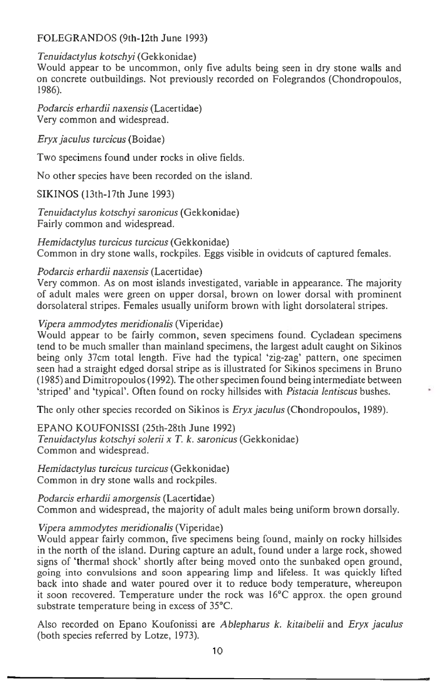# FOLEGRANDOS (9th-12th June 1993)

# *Tenuidactylus kotschyi* (Gekkonidae)

Would appear to be uncommon, only five adults being seen in dry stone walls and on concrete outbuildings. Not previously recorded on Folegrandos (Chondropoulos, 1986).

*Podarcis erhardii naxensis* (Lacertidae) Very common and widespread.

*Eryx jaculus turcicus* (Boidae)

Two specimens found under rocks in olive fields.

No other species have been recorded on the island.

SIKINOS (13th-17th June 1993)

*Tenuidactylus kotschyi saronicus* (Gekkonidae) Fairly common and widespread.

*Hemidactylus turcicus turcicus* (Gekkonidae) Common in dry stone walls, rockpiles. Eggs visible in ovidcuts of captured females.

# *Podarcis erhardii naxensis* (Lacertidae)

Very common. As on most islands investigated, variable in appearance. The majority of adult males were green on upper dorsal, brown on lower dorsal with prominent dorsolateral stripes. Females usually uniform brown with light dorsolateral stripes.

# *Vipera ammodytes meridionalis* (Viperidae)

Would appear to be fairly common, seven specimens found. Cycladean specimens tend to be much smaller than mainland specimens, the largest adult caught on Sikinos being only 37cm total length. Five had the typical 'zig-zag' pattern, one specimen seen had a straight edged dorsal stripe as is illustrated for Sikinos specimens in Bruno (1985) and Dimitropoulos (1992). The other specimen found being intermediate between `striped' and 'typical'. Often found on rocky hillsides with *Pistacia lentiscus* bushes.

The only other species recorded on Sikinos is *Eryx jaculus* (Chondropoulos, 1989).

EPANO KOUFONISSI (25th-28th June 1992) *Tenuidactylus kotschyi solerii x T. k. saronicus* (Gekkonidae) Common and widespread.

*Hemidactylus turcicus turcicus* (Gekkonidae) Common in dry stone walls and rockpiles.

*Podarcis erhardii amorgensis* (Lacertidae) Common and widespread, the majority of adult males being uniform brown dorsally.

# *Vipera ammodytes meridionalis* (Viperidae)

Would appear fairly common, five specimens being found, mainly on rocky hillsides in the north of the island. During capture an adult, found under a large rock, showed signs of 'thermal shock' shortly after being moved onto the sunbaked open ground, going into convulsions and soon appearing limp and lifeless. It was quickly lifted back into shade and water poured over it to reduce body temperature, whereupon it soon recovered. Temperature under the rock was 16°C approx. the open ground substrate temperature being in excess of 35°C.

Also recorded on Epano Koufonissi *are Ablepharus k. kitaibelii* and *Eryx jaculus*  (both species referred by Lotze, 1973).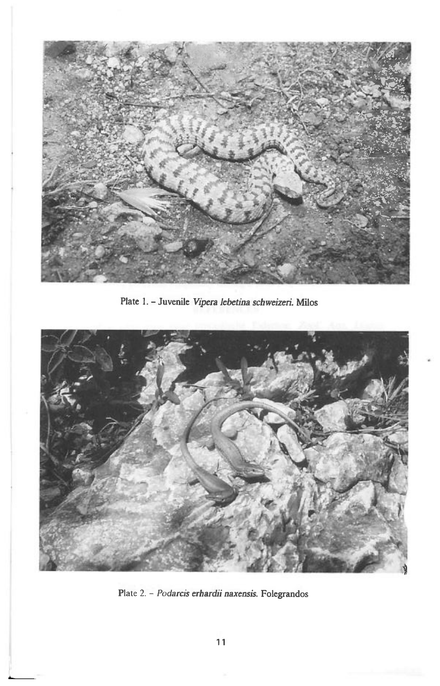

**Plate 1. - Juvenile** *Vipera lebetma schweizeri.* **Milos** 



Plate 2. - *Podarcis erhardii naxensis.* **Folegrandos**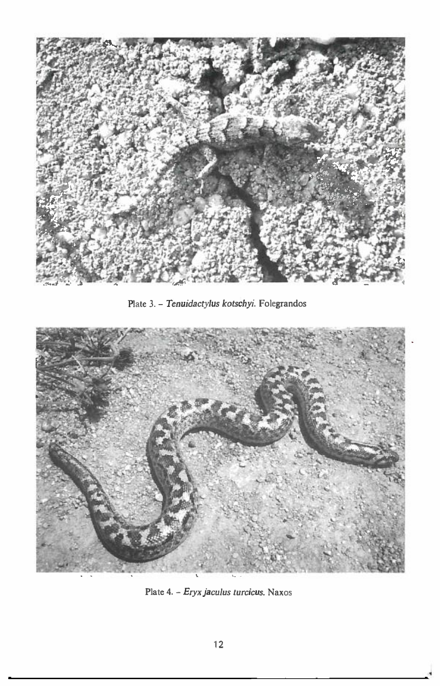

Plate 3. - *Tenuidactylus kotschyi.* Folegrandos



Plate 4. - *Eryx jaculus turcicus.* Naxos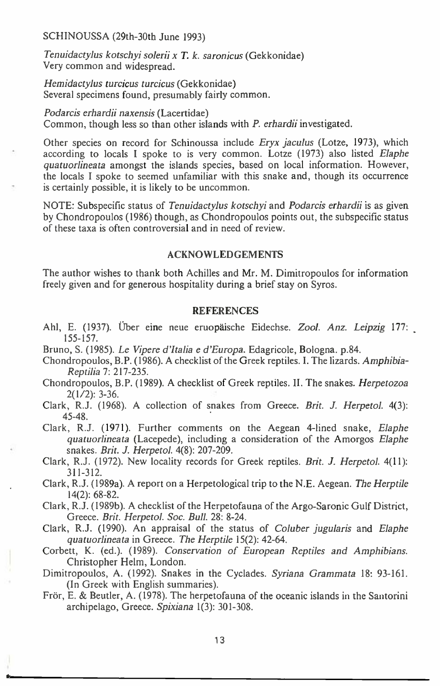SCHINOUSSA (29th-30th June 1993)

*Tenuidactylus kotschyi solerii x T. k. saronicus* (Gekkonidae) Very common and widespread.

*Hemidactylus turcicus turcicus* (Gekkonidae) Several specimens found, presumably fairly common.

*Podarcis erhardii naxensis* (Lacertidae) Common, though less so than other islands with *P. erhardii* investigated.

Other species on record for Schinoussa include *Eryx jaculus* (Lotze, 1973), which according to locals I spoke to is very common. Lotze (1973) also listed *Elaphe quatuorlineata* amongst the islands species, based on local information. However, the locals I spoke to seemed unfamiliar with this snake and, though its occurrence is certainly possible, it is likely to be uncommon.

NOTE: Subspecific status of *Tenuidactylus kotschyi* and *Podarcis erhardii is* as given by Chondropoulos (1986) though, as Chondropoulos points out, the subspecific status of these taxa is often controversial and in need of review.

#### ACKNOWLEDGEMENTS

The author wishes to thank both Achilles and Mr. M. Dimitropoulos for information freely given and for generous hospitality during a brief stay on Syros.

# **REFERENCES**

- Ahl, E. (1937). Uber eine neue eruopaische Eidechse. *Zool. Anz. Leipzig* 177: 155-157.
- Bruno, S. (1985). *Le Vipere d'Italia e d'Europa.* Edagricole, Bologna. p.84.
- Chondropoulos, B.P. (1986). A checklist of the Greek reptiles. I. The lizards. *Amphibia-Reptilia* 7: 217-235.
- Chondropoulos, B.P. (1989). A checklist of Greek reptiles. II. The snakes. *Herpetozoa*  2(1/2): 3-36.
- Clark, R.J. (1968). A collection of snakes from Greece. *Brit. J. Herpetol.* 4(3): 45-48.

Clark, R.J. (1971). Further comments on the Aegean 4-lined snake, *Elaphe quatuorlineata* (Lacepede), including a consideration of the Amorgos *Elaphe*  snakes. *Brit. J. Herpetol.* 4(8): 207-209.

- Clark, R.J. (1972). New locality records for Greek reptiles. *Brit. J. Herpetol.* 4(11): 311-312.
- Clark, R.J. (1989a). A report on a Herpetological trip to the N.E. Aegean. *The Herptile*  14(2): 68-82.
- Clark, R.J. (1989b). A checklist of the Herpetofauna of the Argo-Saronic Gulf District, Greece. *Brit. Herpetol. Soc. Bull.* 28: 8-24.
- Clark, R.J. (1990). An appraisal of the status of *Coluber jugularis* and *Elaphe quatuorlineata* in Greece. *The Herptile* 15(2): 42-64.
- Corbett, K. (ed.). (1989). *Conservation of European Reptiles and Amphibians.*  Christopher Helm, London.
- Dimitropoulos, A. (1992). Snakes in the Cyclades. *Syriana Grammata* 18: 93-161. (In Greek with English summaries).
- Frör, E. & Beutler, A. (1978). The herpetofauna of the oceanic islands in the Santorini archipelago, Greece. *Spixiana* 1(3): 301-308.